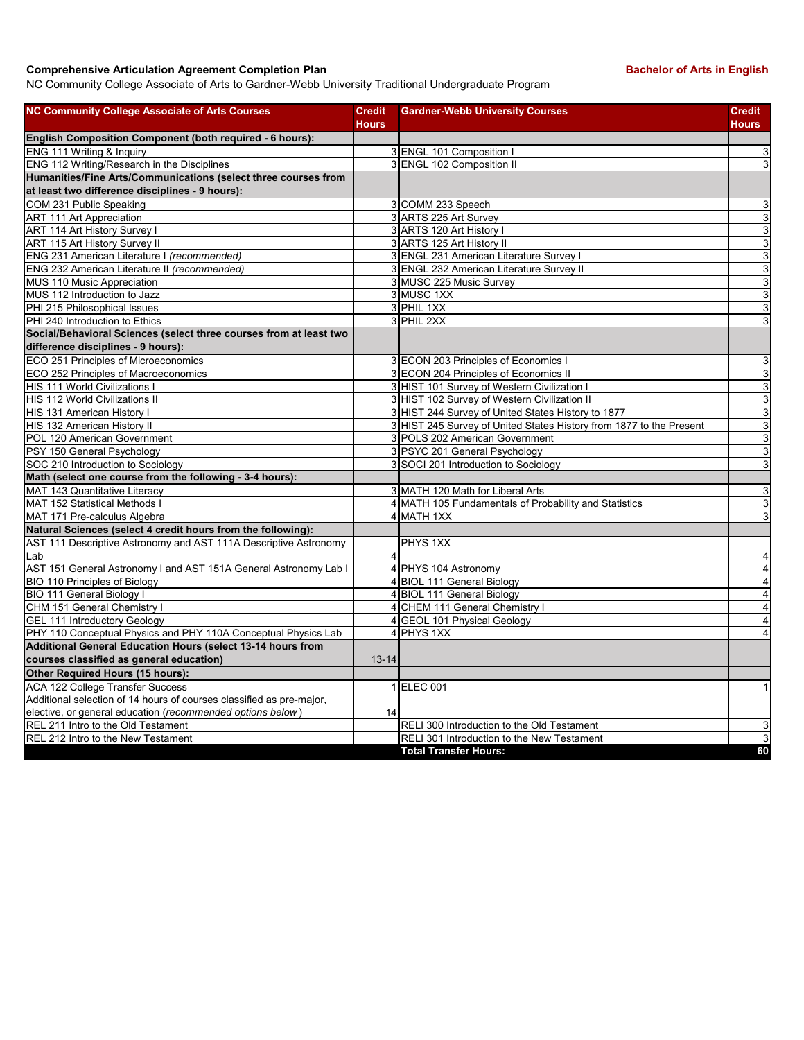## **Comprehensive Articulation Agreement Completion Plan Bachelor of Arts in English Bachelor of Arts in English**

NC Community College Associate of Arts to Gardner-Webb University Traditional Undergraduate Program

| <b>NC Community College Associate of Arts Courses</b>                | <b>Credit</b><br><b>Hours</b> | <b>Gardner-Webb University Courses</b>                              | <b>Credit</b><br><b>Hours</b> |
|----------------------------------------------------------------------|-------------------------------|---------------------------------------------------------------------|-------------------------------|
| English Composition Component (both required - 6 hours):             |                               |                                                                     |                               |
| ENG 111 Writing & Inquiry                                            |                               | 3 ENGL 101 Composition I                                            | 3                             |
| ENG 112 Writing/Research in the Disciplines                          |                               | 3 ENGL 102 Composition II                                           | $\overline{3}$                |
| Humanities/Fine Arts/Communications (select three courses from       |                               |                                                                     |                               |
| at least two difference disciplines - 9 hours):                      |                               |                                                                     |                               |
| COM 231 Public Speaking                                              |                               | 3 COMM 233 Speech                                                   | 3                             |
| <b>ART 111 Art Appreciation</b>                                      |                               | 3 ARTS 225 Art Survey                                               | ω                             |
| ART 114 Art History Survey I                                         |                               | 3 ARTS 120 Art History I                                            | $\overline{3}$                |
| ART 115 Art History Survey II                                        |                               | 3 ARTS 125 Art History II                                           | $\overline{3}$                |
| ENG 231 American Literature I (recommended)                          |                               | 3 ENGL 231 American Literature Survey I                             | 3                             |
| ENG 232 American Literature II (recommended)                         |                               | 3 ENGL 232 American Literature Survey II                            | $\ensuremath{\mathsf{3}}$     |
| MUS 110 Music Appreciation                                           |                               | 3 MUSC 225 Music Survey                                             | $\overline{3}$                |
| MUS 112 Introduction to Jazz                                         |                               | 3 MUSC 1XX                                                          | $\mathbf{3}$                  |
| PHI 215 Philosophical Issues                                         |                               | 3 PHIL 1XX                                                          | $\overline{3}$                |
| PHI 240 Introduction to Ethics                                       |                               | 3 PHIL 2XX                                                          | 3                             |
| Social/Behavioral Sciences (select three courses from at least two   |                               |                                                                     |                               |
| difference disciplines - 9 hours):                                   |                               |                                                                     |                               |
| ECO 251 Principles of Microeconomics                                 |                               | 3 ECON 203 Principles of Economics I                                | 3                             |
| ECO 252 Principles of Macroeconomics                                 |                               | 3 ECON 204 Principles of Economics II                               | ω                             |
| HIS 111 World Civilizations I                                        |                               | 3 HIST 101 Survey of Western Civilization I                         | ω                             |
| <b>HIS 112 World Civilizations II</b>                                |                               | 3 HIST 102 Survey of Western Civilization II                        | $\overline{3}$                |
| HIS 131 American History I                                           |                               | 3 HIST 244 Survey of United States History to 1877                  | 3                             |
| HIS 132 American History II                                          |                               | 3 HIST 245 Survey of United States History from 1877 to the Present | ω                             |
| POL 120 American Government                                          |                               | 3 POLS 202 American Government                                      | $\overline{3}$                |
| PSY 150 General Psychology                                           |                               | 3 PSYC 201 General Psychology                                       | $\mathbf{3}$                  |
| SOC 210 Introduction to Sociology                                    |                               | 3 SOCI 201 Introduction to Sociology                                | $\ensuremath{\mathsf{3}}$     |
| Math (select one course from the following - 3-4 hours):             |                               |                                                                     |                               |
| MAT 143 Quantitative Literacy                                        |                               | 3 MATH 120 Math for Liberal Arts                                    | 3                             |
| MAT 152 Statistical Methods I                                        |                               | 4 MATH 105 Fundamentals of Probability and Statistics               | $\mathbf{3}$                  |
| MAT 171 Pre-calculus Algebra                                         |                               | 4 MATH 1XX                                                          | 3                             |
| Natural Sciences (select 4 credit hours from the following):         |                               |                                                                     |                               |
| AST 111 Descriptive Astronomy and AST 111A Descriptive Astronomy     |                               | PHYS 1XX                                                            |                               |
| Lab                                                                  |                               |                                                                     | 4                             |
| AST 151 General Astronomy I and AST 151A General Astronomy Lab I     | $\overline{4}$                | PHYS 104 Astronomy                                                  | $\overline{\mathbf{4}}$       |
| <b>BIO 110 Principles of Biology</b>                                 |                               | 4 BIOL 111 General Biology                                          | $\overline{4}$                |
| <b>BIO 111 General Biology I</b>                                     |                               | 4 BIOL 111 General Biology                                          | $\overline{4}$                |
| CHM 151 General Chemistry I                                          | 4                             | <b>CHEM 111 General Chemistry I</b>                                 | $\overline{4}$                |
| <b>GEL 111 Introductory Geology</b>                                  | 4                             | <b>GEOL 101 Physical Geology</b>                                    | $\overline{\mathbf{4}}$       |
| PHY 110 Conceptual Physics and PHY 110A Conceptual Physics Lab       | 4                             | PHYS 1XX                                                            | $\overline{4}$                |
| Additional General Education Hours (select 13-14 hours from          |                               |                                                                     |                               |
| courses classified as general education)                             | $13 - 14$                     |                                                                     |                               |
| Other Required Hours (15 hours):                                     |                               |                                                                     |                               |
| <b>ACA 122 College Transfer Success</b>                              |                               | 1 ELEC 001                                                          | $\mathbf{1}$                  |
| Additional selection of 14 hours of courses classified as pre-major, |                               |                                                                     |                               |
| elective, or general education (recommended options below)           | 14                            |                                                                     |                               |
| REL 211 Intro to the Old Testament                                   |                               | RELI 300 Introduction to the Old Testament                          | 3                             |
| REL 212 Intro to the New Testament                                   |                               | RELI 301 Introduction to the New Testament                          | $\overline{3}$                |
|                                                                      |                               | <b>Total Transfer Hours:</b>                                        | 60                            |